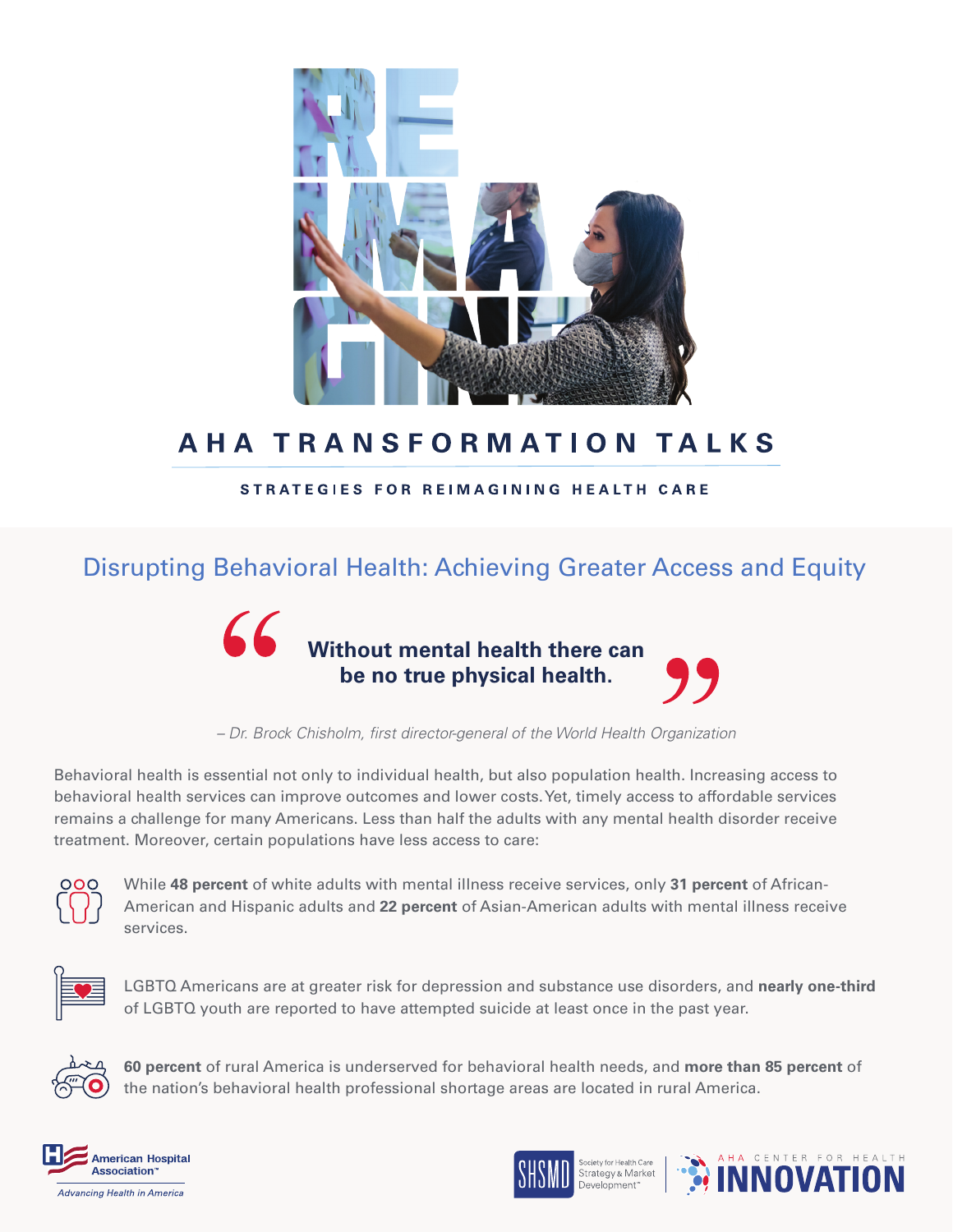

# **AHA TRANSFORMATION TALKS**

#### STRATEGIES FOR REIMAGINING HEALTH CARE

### Disrupting Behavioral Health: Achieving Greater Access and Equity



*– Dr. Brock Chisholm, first director-general of the World Health Organization*

Behavioral health is essential not only to individual health, but also population health. Increasing access to behavioral health services can improve outcomes and lower costs. Yet, timely access to affordable services remains a challenge for many Americans. Less than half the adults with any mental health disorder receive treatment. Moreover, certain populations have less access to care:



While **48 percent** of white adults with mental illness receive services, only **31 percent** of African-American and Hispanic adults and **22 percent** of Asian-American adults with mental illness receive services.



LGBTQ Americans are at greater risk for depression and substance use disorders, and **nearly one-third** of LGBTQ youth are reported to have attempted suicide at least once in the past year.



**60 percent** of rural America is underserved for behavioral health needs, and **more than 85 percent** of the nation's behavioral health professional shortage areas are located in rural America.